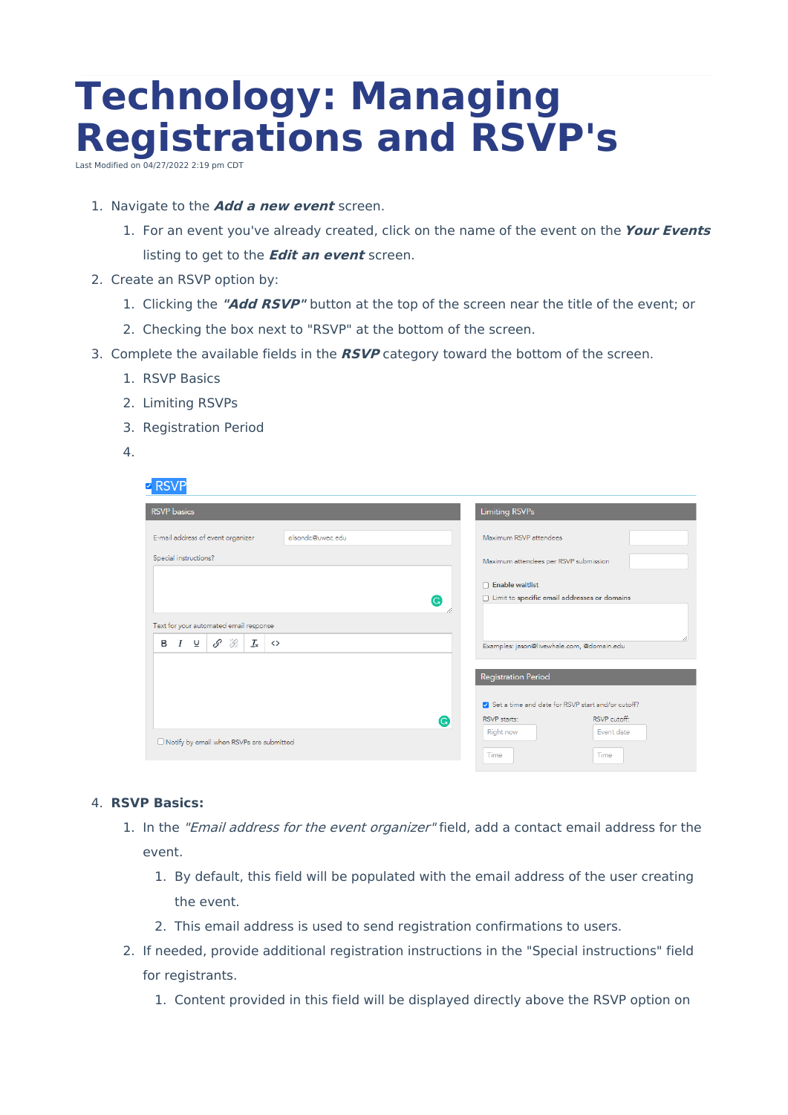# **Technology: Managing Registrations and RSVP's**

Last Modified on  $04/27/2022$  2:19 pm CD

### 1. Navigate to the **Add <sup>a</sup> new event** screen.

- 1. For an event you've already created, click on the name of the event on the **Your Events** listing to get to the **Edit an event** screen.
- 2. Create an RSVP option by:
	- 1. Clicking the **"Add RSVP"** button at the top of the screen near the title of the event; or
	- 2. Checking the box next to "RSVP" at the bottom of the screen.
- 3. Complete the available fields in the **RSVP** category toward the bottom of the screen.
	- 1. RSVP Basics
	- 2. Limiting RSVPs
	- 3. Registration Period
	- 4.

## $\nabla$  RSVP

| $\cdots$                                                                    |                  |                                                   |              |
|-----------------------------------------------------------------------------|------------------|---------------------------------------------------|--------------|
| <b>RSVP</b> basics                                                          |                  | <b>Limiting RSVPs</b>                             |              |
| E-mail address of event organizer                                           | olsondc@uwec.edu | Maximum RSVP attendees                            |              |
| Special instructions?                                                       |                  | Maximum attendees per RSVP submission             |              |
|                                                                             |                  | $\Box$ Enable waitlist                            |              |
| G                                                                           |                  | □ Limit to specific email addresses or domains    |              |
| Text for your automated email response                                      |                  |                                                   |              |
| $\mathcal{I}_{\mathsf{x}}$<br>\$<br>`S:<br>⊻<br>в<br>I<br>$\leftrightarrow$ |                  | Examples: jason@livewhale.com, @domain.edu        |              |
|                                                                             |                  | <b>Registration Period</b>                        |              |
|                                                                             |                  |                                                   |              |
|                                                                             |                  | Set a time and date for RSVP start and/or cutoff? |              |
|                                                                             | G                | RSVP starts:                                      | RSVP cutoff: |
| □ Notify by email when RSVPs are submitted                                  |                  | Right now                                         | Event date   |
|                                                                             |                  | Time                                              | Time         |

#### 4. **RSVP Basics:**

- 1. In the "Email address for the event organizer" field, add a contact email address for the event.
	- 1. By default, this field will be populated with the email address of the user creating the event.
	- 2. This email address is used to send registration confirmations to users.
- 2. If needed, provide additional registration instructions in the "Special instructions" field for registrants.
	- 1. Content provided in this field will be displayed directly above the RSVP option on